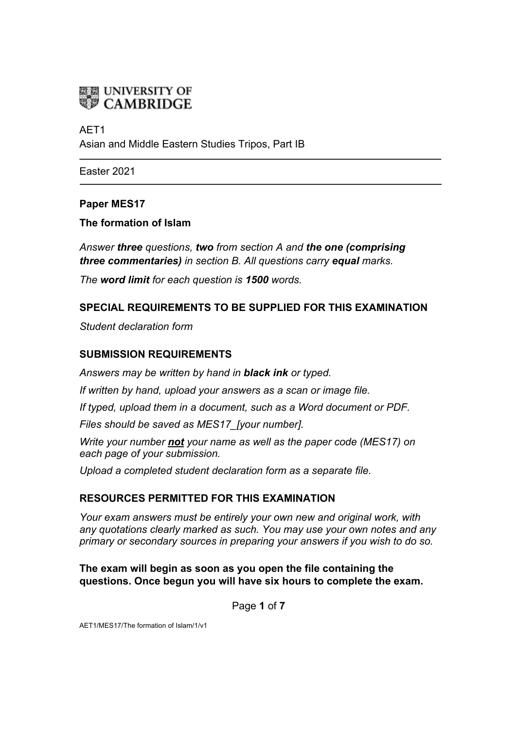

#### AET1

Asian and Middle Eastern Studies Tripos, Part IB

Easter 2021

## **Paper MES17**

## **The formation of Islam**

*Answer three questions, two from section A and the one (comprising three commentaries) in section B. All questions carry equal marks.*

*The word limit for each question is 1500 words.*

# **SPECIAL REQUIREMENTS TO BE SUPPLIED FOR THIS EXAMINATION**

*Student declaration form*

# **SUBMISSION REQUIREMENTS**

*Answers may be written by hand in black ink or typed.*

*If written by hand, upload your answers as a scan or image file.*

*If typed, upload them in a document, such as a Word document or PDF.*

*Files should be saved as MES17\_[your number].*

*Write your number not your name as well as the paper code (MES17) on each page of your submission.*

*Upload a completed student declaration form as a separate file.*

## **RESOURCES PERMITTED FOR THIS EXAMINATION**

*Your exam answers must be entirely your own new and original work, with any quotations clearly marked as such. You may use your own notes and any primary or secondary sources in preparing your answers if you wish to do so.*

**The exam will begin as soon as you open the file containing the questions. Once begun you will have six hours to complete the exam.**

Page **1** of **7**

AET1/MES17/The formation of Islam/1/v1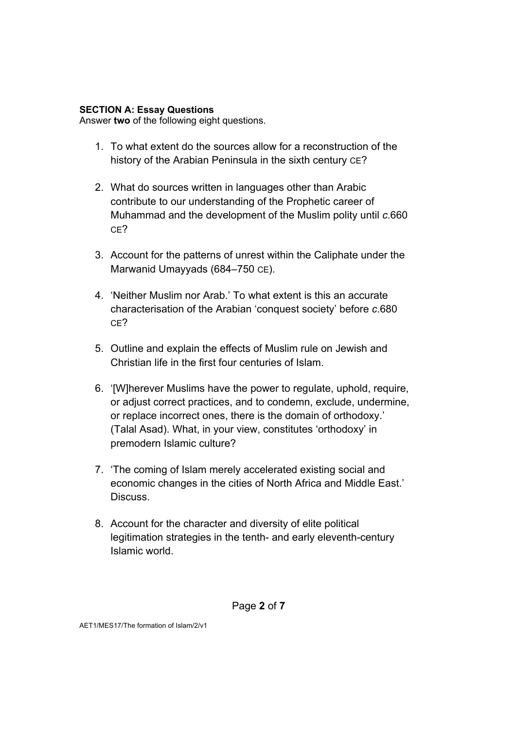#### **SECTION A: Essay Questions**

Answer **two** of the following eight questions.

- 1. To what extent do the sources allow for a reconstruction of the history of the Arabian Peninsula in the sixth century CE?
- 2. What do sources written in languages other than Arabic contribute to our understanding of the Prophetic career of Muhammad and the development of the Muslim polity until *c*.660 CE?
- 3. Account for the patterns of unrest within the Caliphate under the Marwanid Umayyads (684–750 CE).
- 4. 'Neither Muslim nor Arab.' To what extent is this an accurate characterisation of the Arabian 'conquest society' before *c*.680 CE?
- 5. Outline and explain the effects of Muslim rule on Jewish and Christian life in the first four centuries of Islam.
- 6. '[W]herever Muslims have the power to regulate, uphold, require, or adjust correct practices, and to condemn, exclude, undermine, or replace incorrect ones, there is the domain of orthodoxy.' (Talal Asad). What, in your view, constitutes 'orthodoxy' in premodern Islamic culture?
- 7. 'The coming of Islam merely accelerated existing social and economic changes in the cities of North Africa and Middle East.' Discuss.
- 8. Account for the character and diversity of elite political legitimation strategies in the tenth- and early eleventh-century Islamic world.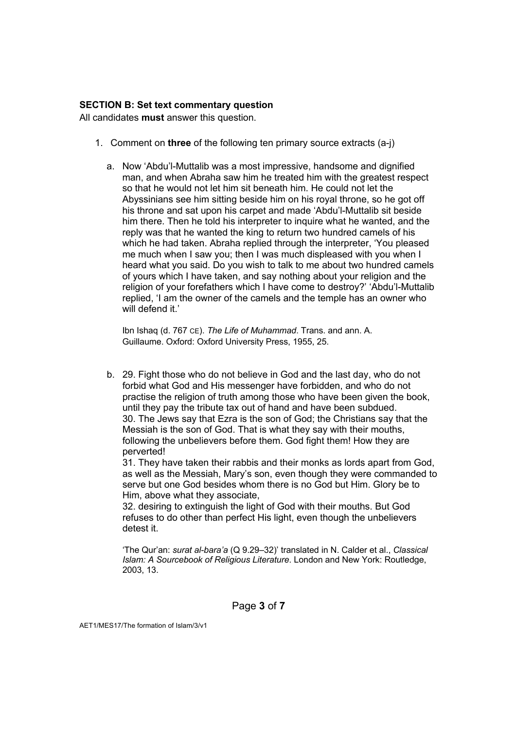#### **SECTION B: Set text commentary question**

All candidates **must** answer this question.

- 1. Comment on **three** of the following ten primary source extracts (a-j)
	- a. Now 'Abdu'l-Muttalib was a most impressive, handsome and dignified man, and when Abraha saw him he treated him with the greatest respect so that he would not let him sit beneath him. He could not let the Abyssinians see him sitting beside him on his royal throne, so he got off his throne and sat upon his carpet and made 'Abdu'l-Muttalib sit beside him there. Then he told his interpreter to inquire what he wanted, and the reply was that he wanted the king to return two hundred camels of his which he had taken. Abraha replied through the interpreter, 'You pleased me much when I saw you; then I was much displeased with you when I heard what you said. Do you wish to talk to me about two hundred camels of yours which I have taken, and say nothing about your religion and the religion of your forefathers which I have come to destroy?' 'Abdu'l-Muttalib replied, 'I am the owner of the camels and the temple has an owner who will defend it.'

Ibn Ishaq (d. 767 CE). *The Life of Muhammad*. Trans. and ann. A. Guillaume. Oxford: Oxford University Press, 1955, 25.

b. 29. Fight those who do not believe in God and the last day, who do not forbid what God and His messenger have forbidden, and who do not practise the religion of truth among those who have been given the book, until they pay the tribute tax out of hand and have been subdued. 30. The Jews say that Ezra is the son of God; the Christians say that the Messiah is the son of God. That is what they say with their mouths, following the unbelievers before them. God fight them! How they are perverted!

31. They have taken their rabbis and their monks as lords apart from God, as well as the Messiah, Mary's son, even though they were commanded to serve but one God besides whom there is no God but Him. Glory be to Him, above what they associate,

32. desiring to extinguish the light of God with their mouths. But God refuses to do other than perfect His light, even though the unbelievers detest it.

'The Qur'an: *surat al-bara'a* (Q 9.29–32)' translated in N. Calder et al., *Classical Islam: A Sourcebook of Religious Literature*. London and New York: Routledge, 2003, 13.

Page **3** of **7**

AET1/MES17/The formation of Islam/3/v1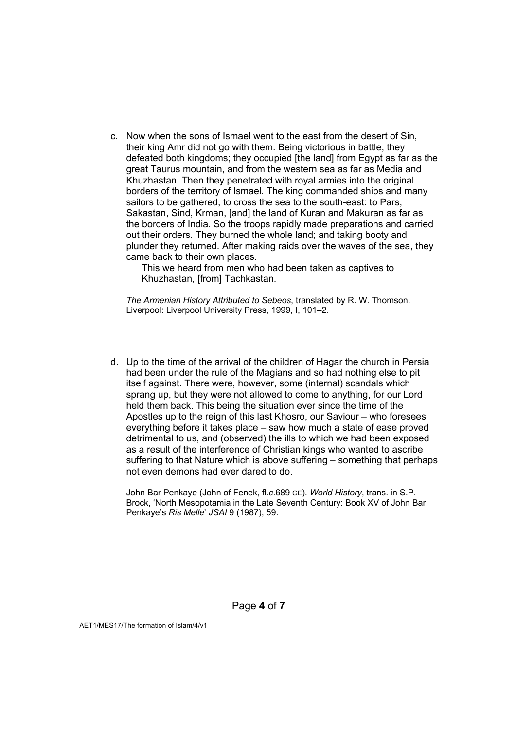c. Now when the sons of Ismael went to the east from the desert of Sin, their king Amr did not go with them. Being victorious in battle, they defeated both kingdoms; they occupied [the land] from Egypt as far as the great Taurus mountain, and from the western sea as far as Media and Khuzhastan. Then they penetrated with royal armies into the original borders of the territory of Ismael. The king commanded ships and many sailors to be gathered, to cross the sea to the south-east: to Pars, Sakastan, Sind, Krman, [and] the land of Kuran and Makuran as far as the borders of India. So the troops rapidly made preparations and carried out their orders. They burned the whole land; and taking booty and plunder they returned. After making raids over the waves of the sea, they came back to their own places.

This we heard from men who had been taken as captives to Khuzhastan, [from] Tachkastan.

*The Armenian History Attributed to Sebeos*, translated by R. W. Thomson. Liverpool: Liverpool University Press, 1999, I, 101–2.

d. Up to the time of the arrival of the children of Hagar the church in Persia had been under the rule of the Magians and so had nothing else to pit itself against. There were, however, some (internal) scandals which sprang up, but they were not allowed to come to anything, for our Lord held them back. This being the situation ever since the time of the Apostles up to the reign of this last Khosro, our Saviour – who foresees everything before it takes place – saw how much a state of ease proved detrimental to us, and (observed) the ills to which we had been exposed as a result of the interference of Christian kings who wanted to ascribe suffering to that Nature which is above suffering – something that perhaps not even demons had ever dared to do.

John Bar Penkaye (John of Fenek, fl.*c*.689 CE). *World History*, trans. in S.P. Brock, 'North Mesopotamia in the Late Seventh Century: Book XV of John Bar Penkaye's *Ris Melle*' *JSAI* 9 (1987), 59.

Page **4** of **7**

AET1/MES17/The formation of Islam/4/v1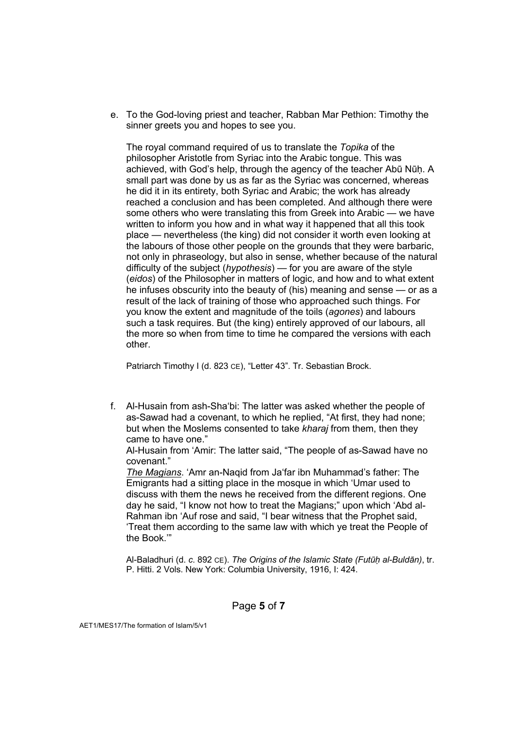e. To the God-loving priest and teacher, Rabban Mar Pethion: Timothy the sinner greets you and hopes to see you.

The royal command required of us to translate the *Topika* of the philosopher Aristotle from Syriac into the Arabic tongue. This was achieved, with God's help, through the agency of the teacher Abū Nūḥ. A small part was done by us as far as the Syriac was concerned, whereas he did it in its entirety, both Syriac and Arabic; the work has already reached a conclusion and has been completed. And although there were some others who were translating this from Greek into Arabic — we have written to inform you how and in what way it happened that all this took place — nevertheless (the king) did not consider it worth even looking at the labours of those other people on the grounds that they were barbaric, not only in phraseology, but also in sense, whether because of the natural difficulty of the subject (*hypothesis*) — for you are aware of the style (*eidos*) of the Philosopher in matters of logic, and how and to what extent he infuses obscurity into the beauty of (his) meaning and sense — or as a result of the lack of training of those who approached such things. For you know the extent and magnitude of the toils (*agones*) and labours such a task requires. But (the king) entirely approved of our labours, all the more so when from time to time he compared the versions with each other.

Patriarch Timothy I (d. 823 CE), "Letter 43". Tr. Sebastian Brock.

f. Al-Husain from ash-Sha'bi: The latter was asked whether the people of as-Sawad had a covenant, to which he replied, "At first, they had none; but when the Moslems consented to take *kharaj* from them, then they came to have one."

Al-Husain from 'Amir: The latter said, "The people of as-Sawad have no covenant."

*The Magians*. 'Amr an-Naqid from Ja'far ibn Muhammad's father: The Emigrants had a sitting place in the mosque in which 'Umar used to discuss with them the news he received from the different regions. One day he said, "I know not how to treat the Magians;" upon which 'Abd al-Rahman ibn 'Auf rose and said, "I bear witness that the Prophet said, 'Treat them according to the same law with which ye treat the People of the Book.'"

Al-Baladhuri (d. *c*. 892 CE). *The Origins of the Islamic State (Futūḥ al-Buldān)*, tr. P. Hitti. 2 Vols. New York: Columbia University, 1916, I: 424.

#### Page **5** of **7**

AET1/MES17/The formation of Islam/5/v1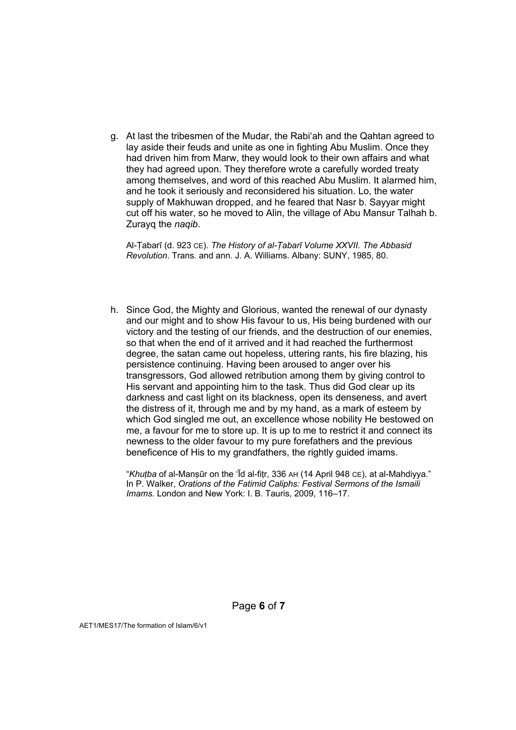g. At last the tribesmen of the Mudar, the Rabi'ah and the Qahtan agreed to lay aside their feuds and unite as one in fighting Abu Muslim. Once they had driven him from Marw, they would look to their own affairs and what they had agreed upon. They therefore wrote a carefully worded treaty among themselves, and word of this reached Abu Muslim. It alarmed him, and he took it seriously and reconsidered his situation. Lo, the water supply of Makhuwan dropped, and he feared that Nasr b. Sayyar might cut off his water, so he moved to Alin, the village of Abu Mansur Talhah b. Zurayq the *naqib*.

Al-Ṭabarī (d. 923 CE). *The History of al-Ṭabarī Volume XXVII. The Abbasid Revolution*. Trans. and ann. J. A. Williams. Albany: SUNY, 1985, 80.

h. Since God, the Mighty and Glorious, wanted the renewal of our dynasty and our might and to show His favour to us, His being burdened with our victory and the testing of our friends, and the destruction of our enemies, so that when the end of it arrived and it had reached the furthermost degree, the satan came out hopeless, uttering rants, his fire blazing, his persistence continuing. Having been aroused to anger over his transgressors, God allowed retribution among them by giving control to His servant and appointing him to the task. Thus did God clear up its darkness and cast light on its blackness, open its denseness, and avert the distress of it, through me and by my hand, as a mark of esteem by which God singled me out, an excellence whose nobility He bestowed on me, a favour for me to store up. It is up to me to restrict it and connect its newness to the older favour to my pure forefathers and the previous beneficence of His to my grandfathers, the rightly guided imams.

"*Khuṭba* of al-Manṣūr on the 'Īd al-fiṭr, 336 AH (14 April 948 CE), at al-Mahdiyya." In P. Walker, *Orations of the Fatimid Caliphs: Festival Sermons of the Ismaili Imams*. London and New York: I. B. Tauris, 2009, 116–17.

Page **6** of **7**

AET1/MES17/The formation of Islam/6/v1